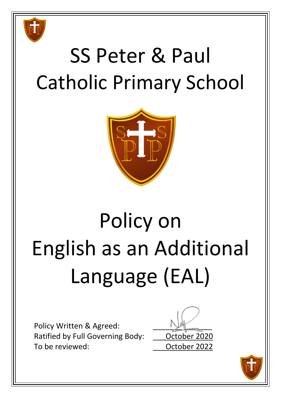

## SS Peter & Paul Catholic Primary School



# Policy on English as an Additional Language (EAL)

Policy Written & Agreed: Ratified by Full Governing Body: **October 2020** To be reviewed: external controller controller poster and controller 2022



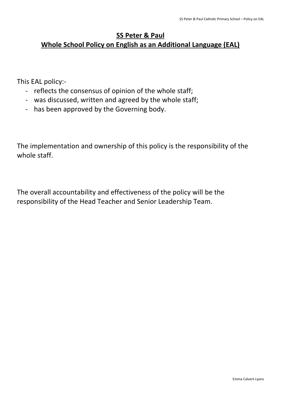### **SS Peter & Paul**

## **Whole School Policy on English as an Additional Language (EAL)**

This EAL policy:-

- reflects the consensus of opinion of the whole staff;
- was discussed, written and agreed by the whole staff;
- has been approved by the Governing body.

The implementation and ownership of this policy is the responsibility of the whole staff.

The overall accountability and effectiveness of the policy will be the responsibility of the Head Teacher and Senior Leadership Team.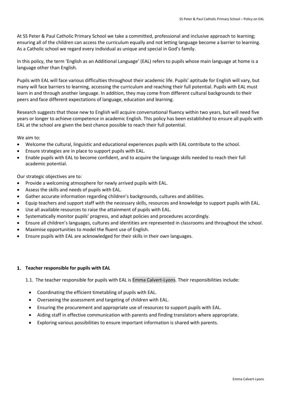At SS Peter & Paul Catholic Primary School we take a committed, professional and inclusive approach to learning; ensuring all of the children can access the curriculum equally and not letting language become a barrier to learning. As a Catholic school we regard every individual as unique and special in God's family.

In this policy, the term 'English as an Additional Language' (EAL) refers to pupils whose main language at home is a language other than English.

Pupils with EAL will face various difficulties throughout their academic life. Pupils' aptitude for English will vary, but many will face barriers to learning, accessing the curriculum and reaching their full potential. Pupils with EAL must learn in and through another language. In addition, they may come from different cultural backgrounds to their peers and face different expectations of language, education and learning.

Research suggests that those new to English will acquire conversational fluency within two years, but will need five years or longer to achieve competence in academic English. This policy has been established to ensure all pupils with EAL at the school are given the best chance possible to reach their full potential.

We aim to:

- Welcome the cultural, linguistic and educational experiences pupils with EAL contribute to the school.
- Ensure strategies are in place to support pupils with EAL.
- Enable pupils with EAL to become confident, and to acquire the language skills needed to reach their full academic potential.

Our strategic objectives are to:

- Provide a welcoming atmosphere for newly arrived pupils with EAL.
- Assess the skills and needs of pupils with EAL.
- Gather accurate information regarding children's backgrounds, cultures and abilities.
- Equip teachers and support staff with the necessary skills, resources and knowledge to support pupils with EAL.
- Use all available resources to raise the attainment of pupils with EAL.
- Systematically monitor pupils' progress, and adapt policies and procedures accordingly.
- Ensure all children's languages, cultures and identities are represented in classrooms and throughout the school.
- Maximise opportunities to model the fluent use of English.
- Ensure pupils with EAL are acknowledged for their skills in their own languages.

#### **Teacher responsible for pupils with EAL**

1.1. The teacher responsible for pupils with EAL is Emma Calvert-Lyons. Their responsibilities include:

- Coordinating the efficient timetabling of pupils with EAL.
- Overseeing the assessment and targeting of children with EAL.
- Ensuring the procurement and appropriate use of resources to support pupils with EAL.
- Aiding staff in effective communication with parents and finding translators where appropriate.
- Exploring various possibilities to ensure important information is shared with parents.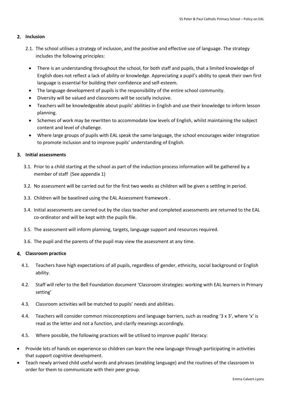#### 2. Inclusion

- 2.1. The school utilises a strategy of inclusion, and the positive and effective use of language. The strategy includes the following principles:
	- There is an understanding throughout the school, for both staff and pupils, that a limited knowledge of English does not reflect a lack of ability or knowledge. Appreciating a pupil's ability to speak their own first language is essential for building their confidence and self-esteem.
	- The language development of pupils is the responsibility of the entire school community.
	- Diversity will be valued and classrooms will be socially inclusive.
	- Teachers will be knowledgeable about pupils' abilities in English and use their knowledge to inform lesson planning.
	- Schemes of work may be rewritten to accommodate low levels of English, whilst maintaining the subject content and level of challenge.
	- Where large groups of pupils with EAL speak the same language, the school encourages wider integration to promote inclusion and to improve pupils' understanding of English.

#### **Initial assessments**

- 3.1. Prior to a child starting at the school as part of the induction process information will be gathered by a member of staff (See appendix 1)
- 3.2. No assessment will be carried out for the first two weeks as children will be given a settling in period.
- 3.3. Children will be baselined using the EAL Assessment framework .
- 3.4. Initial assessments are carried out by the class teacher and completed assessments are returned to the EAL co-ordinator and will be kept with the pupils file.
- 3.5. The assessment will inform planning, targets, language support and resources required.
- 3.6. The pupil and the parents of the pupil may view the assessment at any time.

#### **Classroom practice**

- 4.1. Teachers have high expectations of all pupils, regardless of gender, ethnicity, social background or English ability.
- 4.2. Staff will refer to the Bell Foundation document 'Classroom strategies: working with EAL learners in Primary setting'
- 4.3. Classroom activities will be matched to pupils' needs and abilities.
- 4.4. Teachers will consider common misconceptions and language barriers, such as reading '3 x 3', where 'x' is read as the letter and not a function, and clarify meanings accordingly.
- 4.5. Where possible, the following practices will be utilised to improve pupils' literacy:
- Provide lots of hands on experience so children can learn the new language through participating in activities that support cognitive development.
- Teach newly arrived child useful words and phrases (enabling language) and the routines of the classroom in order for them to communicate with their peer group.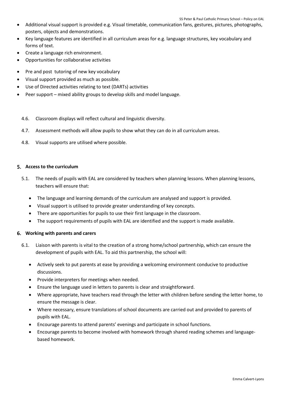- Additional visual support is provided e.g. Visual timetable, communication fans, gestures, pictures, photographs, posters, objects and demonstrations.
- Key language features are identified in all curriculum areas for e.g. language structures, key vocabulary and forms of text.
- Create a language rich environment.
- Opportunities for collaborative activities
- Pre and post tutoring of new key vocabulary
- Visual support provided as much as possible.
- Use of Directed activities relating to text (DARTs) activities
- Peer support mixed ability groups to develop skills and model language.
	- 4.6. Classroom displays will reflect cultural and linguistic diversity.
	- 4.7. Assessment methods will allow pupils to show what they can do in all curriculum areas.
	- 4.8. Visual supports are utilised where possible.

#### **Access to the curriculum**

- 5.1. The needs of pupils with EAL are considered by teachers when planning lessons. When planning lessons, teachers will ensure that:
	- The language and learning demands of the curriculum are analysed and support is provided.
	- Visual support is utilised to provide greater understanding of key concepts.
	- There are opportunities for pupils to use their first language in the classroom.
	- The support requirements of pupils with EAL are identified and the support is made available.

#### **Working with parents and carers**

- 6.1. Liaison with parents is vital to the creation of a strong home/school partnership, which can ensure the development of pupils with EAL. To aid this partnership, the school will:
	- Actively seek to put parents at ease by providing a welcoming environment conducive to productive discussions.
	- Provide interpreters for meetings when needed.
	- Ensure the language used in letters to parents is clear and straightforward.
	- Where appropriate, have teachers read through the letter with children before sending the letter home, to ensure the message is clear.
	- Where necessary, ensure translations of school documents are carried out and provided to parents of pupils with EAL.
	- Encourage parents to attend parents' evenings and participate in school functions.
	- Encourage parents to become involved with homework through shared reading schemes and languagebased homework.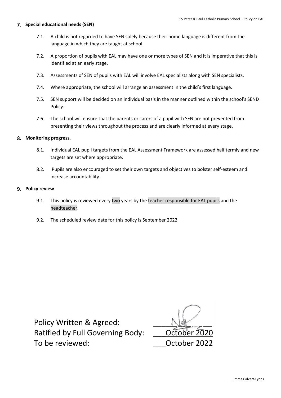#### **Special educational needs (SEN)**

- 7.1. A child is not regarded to have SEN solely because their home language is different from the language in which they are taught at school.
- 7.2. A proportion of pupils with EAL may have one or more types of SEN and it is imperative that this is identified at an early stage.
- 7.3. Assessments of SEN of pupils with EAL will involve EAL specialists along with SEN specialists.
- 7.4. Where appropriate, the school will arrange an assessment in the child's first language.
- 7.5. SEN support will be decided on an individual basis in the manner outlined within the school's SEND Policy.
- 7.6. The school will ensure that the parents or carers of a pupil with SEN are not prevented from presenting their views throughout the process and are clearly informed at every stage.

#### **Monitoring progress**.

- 8.1. Individual EAL pupil targets from the EAL Assessment Framework are assessed half termly and new targets are set where appropriate.
- 8.2. Pupils are also encouraged to set their own targets and objectives to bolster self-esteem and increase accountability.

#### **Policy review**

- 9.1. This policy is reviewed every two years by the teacher responsible for EAL pupils and the headteacher.
- 9.2. The scheduled review date for this policy is September 2022